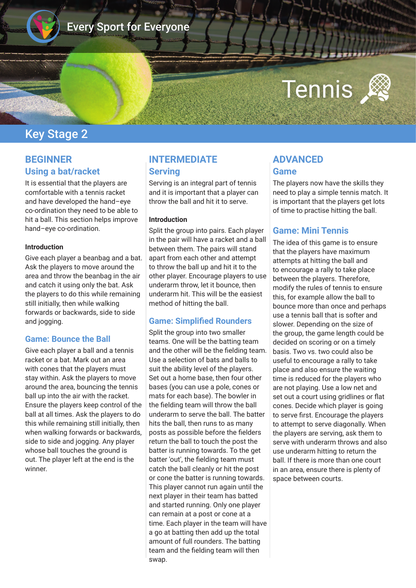

# Every Sport for Everyone

# Tennis

# Key Stage 2

## **BEGINNER Using a bat/racket**

It is essential that the players are comfortable with a tennis racket and have developed the hand–eye co-ordination they need to be able to hit a ball. This section helps improve hand–eye co-ordination.

#### **Introduction**

Give each player a beanbag and a bat. Ask the players to move around the area and throw the beanbag in the air and catch it using only the bat. Ask the players to do this while remaining still initially, then while walking forwards or backwards, side to side and jogging.

#### **Game: Bounce the Ball**

Give each player a ball and a tennis racket or a bat. Mark out an area with cones that the players must stay within. Ask the players to move around the area, bouncing the tennis ball up into the air with the racket. Ensure the players keep control of the ball at all times. Ask the players to do this while remaining still initially, then when walking forwards or backwards, side to side and jogging. Any player whose ball touches the ground is out. The player left at the end is the winner.

## **INTERMEDIATE Serving**

Serving is an integral part of tennis and it is important that a player can throw the ball and hit it to serve.

#### **Introduction**

Split the group into pairs. Each player in the pair will have a racket and a ball between them. The pairs will stand apart from each other and attempt to throw the ball up and hit it to the other player. Encourage players to use underarm throw, let it bounce, then underarm hit. This will be the easiest method of hitting the ball.

#### **Game: Simplifed Rounders**

Split the group into two smaller teams. One will be the batting team and the other will be the felding team. Use a selection of bats and balls to suit the ability level of the players. Set out a home base, then four other bases (you can use a pole, cones or mats for each base). The bowler in the felding team will throw the ball underarm to serve the ball. The batter hits the ball, then runs to as many posts as possible before the felders return the ball to touch the post the batter is running towards. To the get batter 'out', the felding team must catch the ball cleanly or hit the post or cone the batter is running towards. This player cannot run again until the next player in their team has batted and started running. Only one player can remain at a post or cone at a time. Each player in the team will have a go at batting then add up the total amount of full rounders. The batting team and the felding team will then swap.

## **ADVANCED Game**

The players now have the skills they need to play a simple tennis match. It is important that the players get lots of time to practise hitting the ball.

### **Game: Mini Tennis**

The idea of this game is to ensure that the players have maximum attempts at hitting the ball and to encourage a rally to take place between the players. Therefore, modify the rules of tennis to ensure this, for example allow the ball to bounce more than once and perhaps use a tennis ball that is softer and slower. Depending on the size of the group, the game length could be decided on scoring or on a timely basis. Two vs. two could also be useful to encourage a rally to take place and also ensure the waiting time is reduced for the players who are not playing. Use a low net and set out a court using gridlines or flat cones. Decide which player is going to serve frst. Encourage the players to attempt to serve diagonally. When the players are serving, ask them to serve with underarm throws and also use underarm hitting to return the ball. If there is more than one court in an area, ensure there is plenty of space between courts.